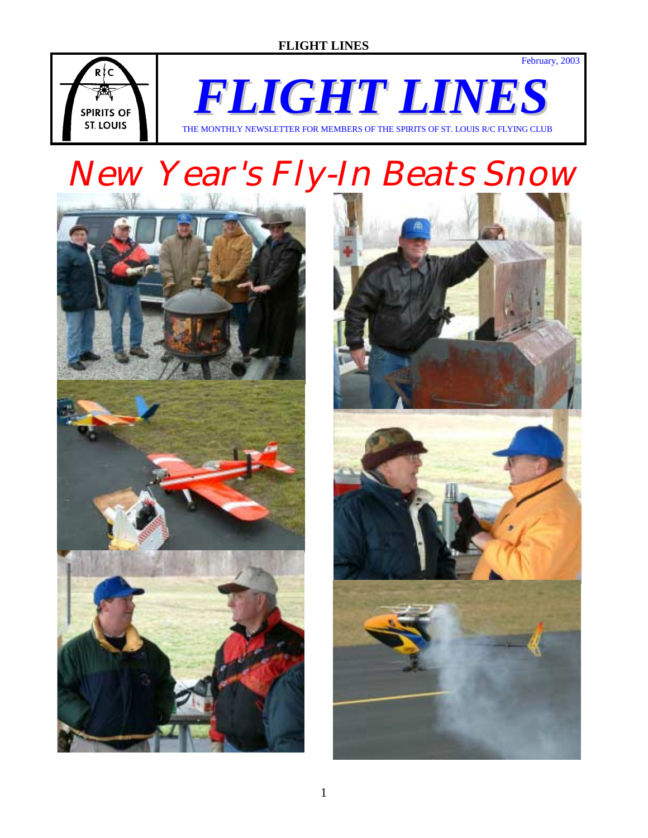# **FLIGHT LINES**



*FLIGHT LINES* THE MONTHLY NEWSLETTER FOR MEMBERS OF THE SPIRITS OF ST. LOUIS R/C FLYING CLUB

# New Year's Fly-In Beats Snow





February, 2003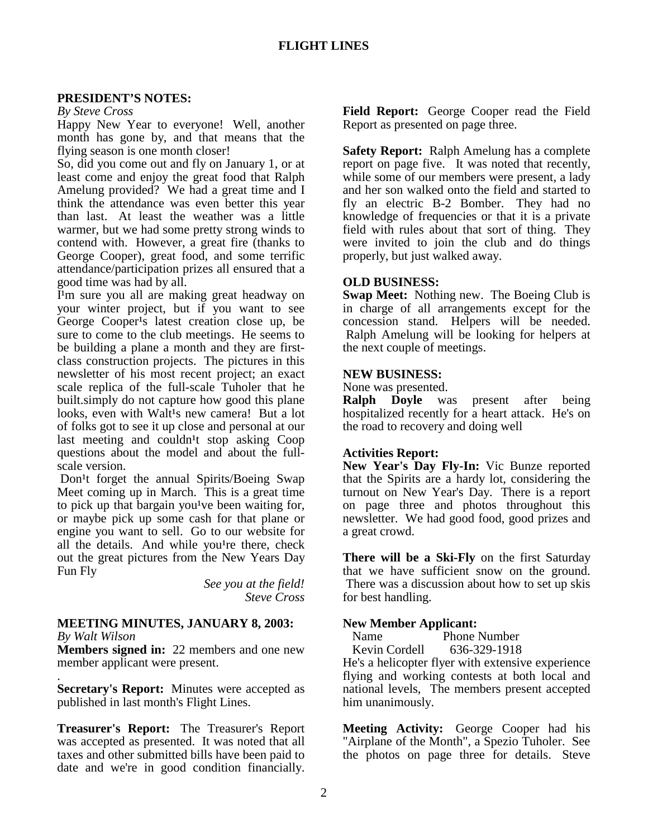#### **PRESIDENT'S NOTES:**

*By Steve Cross* 

Happy New Year to everyone! Well, another month has gone by, and that means that the flying season is one month closer!

So, did you come out and fly on January 1, or at least come and enjoy the great food that Ralph Amelung provided? We had a great time and I think the attendance was even better this year than last. At least the weather was a little warmer, but we had some pretty strong winds to contend with. However, a great fire (thanks to George Cooper), great food, and some terrific attendance/participation prizes all ensured that a good time was had by all.

I<sup>1</sup>m sure you all are making great headway on your winter project, but if you want to see George Cooper<sup>1</sup>s latest creation close up, be sure to come to the club meetings. He seems to be building a plane a month and they are firstclass construction projects. The pictures in this newsletter of his most recent project; an exact scale replica of the full-scale Tuholer that he built.simply do not capture how good this plane looks, even with Walt<sup>1</sup>s new camera! But a lot of folks got to see it up close and personal at our last meeting and couldn<sup>1</sup>t stop asking  $Coop$ questions about the model and about the fullscale version.

Don<sup>1</sup>t forget the annual Spirits/Boeing Swap Meet coming up in March. This is a great time to pick up that bargain you<sup>1</sup>ve been waiting for, or maybe pick up some cash for that plane or engine you want to sell. Go to our website for all the details. And while you<sup>1</sup>re there, check out the great pictures from the New Years Day Fun Fly

> *See you at the field! Steve Cross*

# **MEETING MINUTES, JANUARY 8, 2003:**

*By Walt Wilson* 

**Members signed in:** 22 members and one new member applicant were present.

. **Secretary's Report:** Minutes were accepted as published in last month's Flight Lines.

**Treasurer's Report:** The Treasurer's Report was accepted as presented. It was noted that all taxes and other submitted bills have been paid to date and we're in good condition financially.

**Field Report:** George Cooper read the Field Report as presented on page three.

**Safety Report:** Ralph Amelung has a complete report on page five. It was noted that recently, while some of our members were present, a lady and her son walked onto the field and started to fly an electric B-2 Bomber. They had no knowledge of frequencies or that it is a private field with rules about that sort of thing. They were invited to join the club and do things properly, but just walked away.

#### **OLD BUSINESS:**

**Swap Meet:** Nothing new. The Boeing Club is in charge of all arrangements except for the concession stand. Helpers will be needed. Ralph Amelung will be looking for helpers at the next couple of meetings.

#### **NEW BUSINESS:**

None was presented.

**Ralph Doyle** was present after being hospitalized recently for a heart attack. He's on the road to recovery and doing well

# **Activities Report:**

**New Year's Day Fly-In:** Vic Bunze reported that the Spirits are a hardy lot, considering the turnout on New Year's Day. There is a report on page three and photos throughout this newsletter. We had good food, good prizes and a great crowd.

**There will be a Ski-Fly** on the first Saturday that we have sufficient snow on the ground. There was a discussion about how to set up skis for best handling.

#### **New Member Applicant:**

Name Phone Number

Kevin Cordell 636-329-1918

He's a helicopter flyer with extensive experience flying and working contests at both local and national levels, The members present accepted him unanimously.

**Meeting Activity:** George Cooper had his "Airplane of the Month", a Spezio Tuholer. See the photos on page three for details. Steve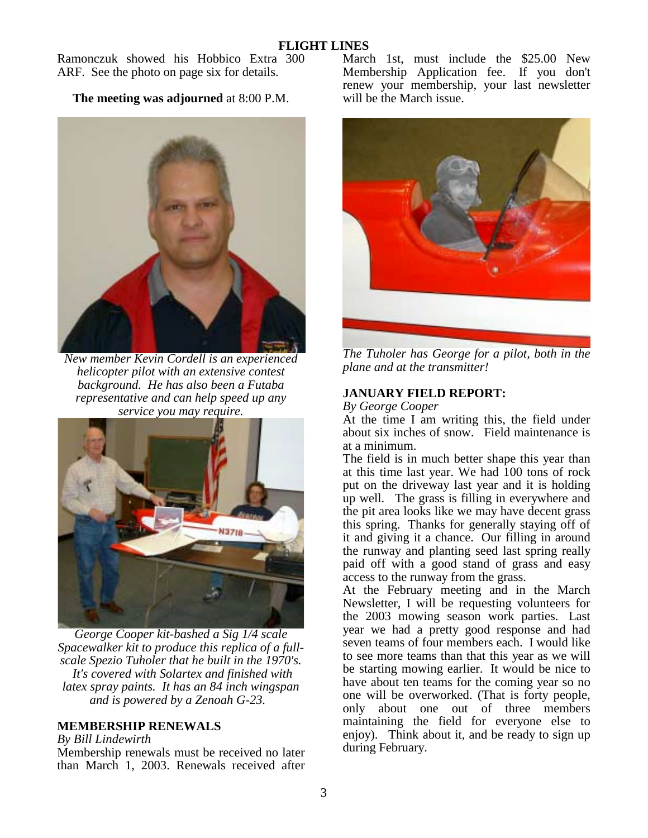Ramonczuk showed his Hobbico Extra 300 ARF. See the photo on page six for details.

**The meeting was adjourned** at 8:00 P.M.



*New member Kevin Cordell is an experienced helicopter pilot with an extensive contest background. He has also been a Futaba representative and can help speed up any service you may require.* 



*George Cooper kit-bashed a Sig 1/4 scale Spacewalker kit to produce this replica of a fullscale Spezio Tuholer that he built in the 1970's. It's covered with Solartex and finished with latex spray paints. It has an 84 inch wingspan and is powered by a Zenoah G-23.* 

# **MEMBERSHIP RENEWALS**

*By Bill Lindewirth* 

Membership renewals must be received no later than March 1, 2003. Renewals received after March 1st, must include the \$25.00 New Membership Application fee. If you don't renew your membership, your last newsletter will be the March issue.



*The Tuholer has George for a pilot, both in the plane and at the transmitter!* 

# **JANUARY FIELD REPORT:**

*By George Cooper* 

At the time I am writing this, the field under about six inches of snow. Field maintenance is at a minimum.

The field is in much better shape this year than at this time last year. We had 100 tons of rock put on the driveway last year and it is holding up well. The grass is filling in everywhere and the pit area looks like we may have decent grass this spring. Thanks for generally staying off of it and giving it a chance. Our filling in around the runway and planting seed last spring really paid off with a good stand of grass and easy access to the runway from the grass.

At the February meeting and in the March Newsletter, I will be requesting volunteers for the 2003 mowing season work parties. Last year we had a pretty good response and had seven teams of four members each. I would like to see more teams than that this year as we will be starting mowing earlier. It would be nice to have about ten teams for the coming year so no one will be overworked. (That is forty people, only about one out of three members maintaining the field for everyone else to enjoy). Think about it, and be ready to sign up during February.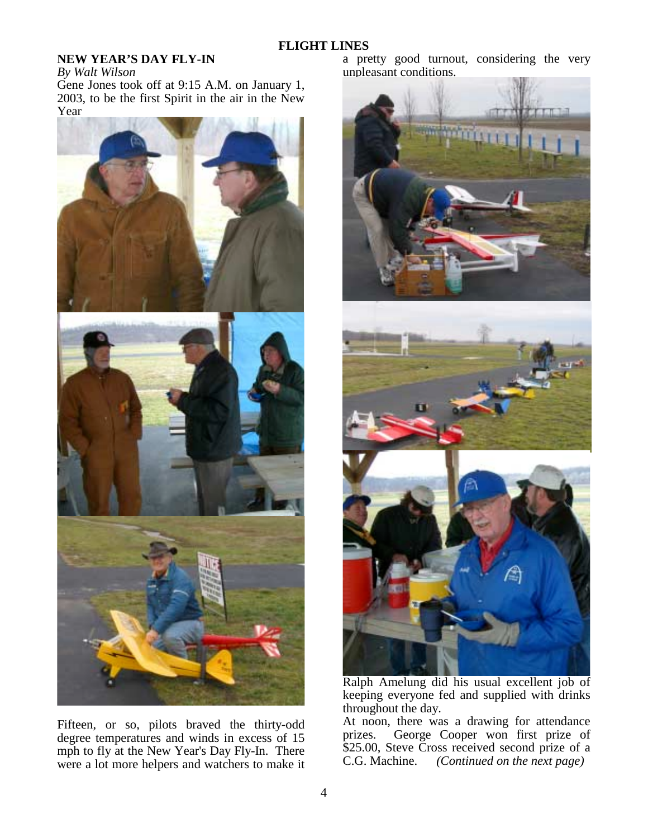## **FLIGHT LINES**

# **NEW YEAR'S DAY FLY-IN**

*By Walt Wilson* 

Gene Jones took off at 9:15 A.M. on January 1, 2003, to be the first Spirit in the air in the New Year



Fifteen, or so, pilots braved the thirty-odd degree temperatures and winds in excess of 15 mph to fly at the New Year's Day Fly-In. There were a lot more helpers and watchers to make it

a pretty good turnout, considering the very unpleasant conditions.



Ralph Amelung did his usual excellent job of keeping everyone fed and supplied with drinks throughout the day.

At noon, there was a drawing for attendance<br>prizes. George Cooper won first prize of George Cooper won first prize of \$25.00, Steve Cross received second prize of a C.G. Machine. *(Continued on the next page)*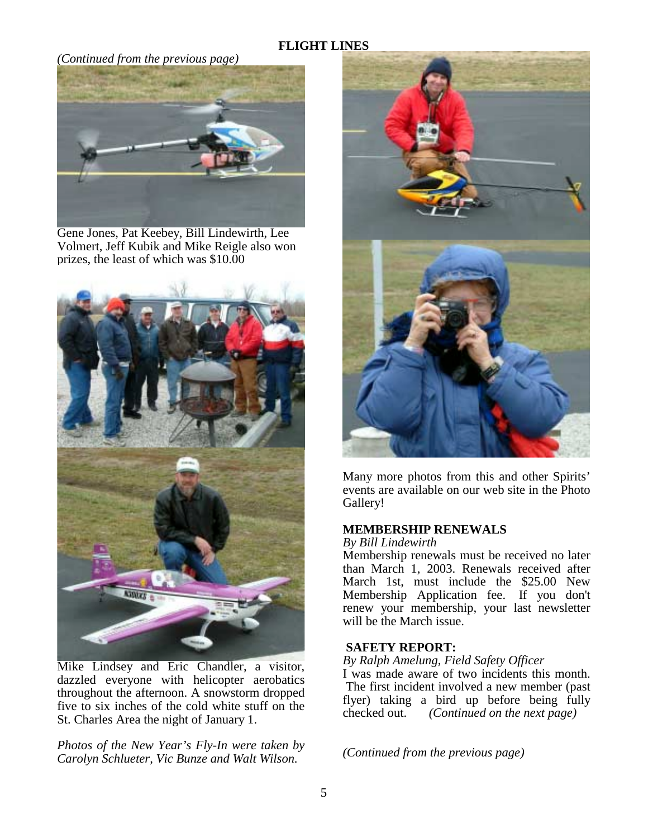# **FLIGHT LINES**

#### *(Continued from the previous page)*



Gene Jones, Pat Keebey, Bill Lindewirth, Lee Volmert, Jeff Kubik and Mike Reigle also won prizes, the least of which was \$10.00



Mike Lindsey and Eric Chandler, a visitor, dazzled everyone with helicopter aerobatics throughout the afternoon. A snowstorm dropped five to six inches of the cold white stuff on the St. Charles Area the night of January 1.

*Photos of the New Year's Fly-In were taken by Carolyn Schlueter, Vic Bunze and Walt Wilson.* 



Many more photos from this and other Spirits' events are available on our web site in the Photo Gallery!

#### **MEMBERSHIP RENEWALS**

#### *By Bill Lindewirth*

Membership renewals must be received no later than March 1, 2003. Renewals received after March 1st, must include the \$25.00 New Membership Application fee. If you don't renew your membership, your last newsletter will be the March issue.

#### **SAFETY REPORT:**

*By Ralph Amelung, Field Safety Officer* 

I was made aware of two incidents this month. The first incident involved a new member (past flyer) taking a bird up before being fully checked out. *(Continued on the next page)* 

*(Continued from the previous page)*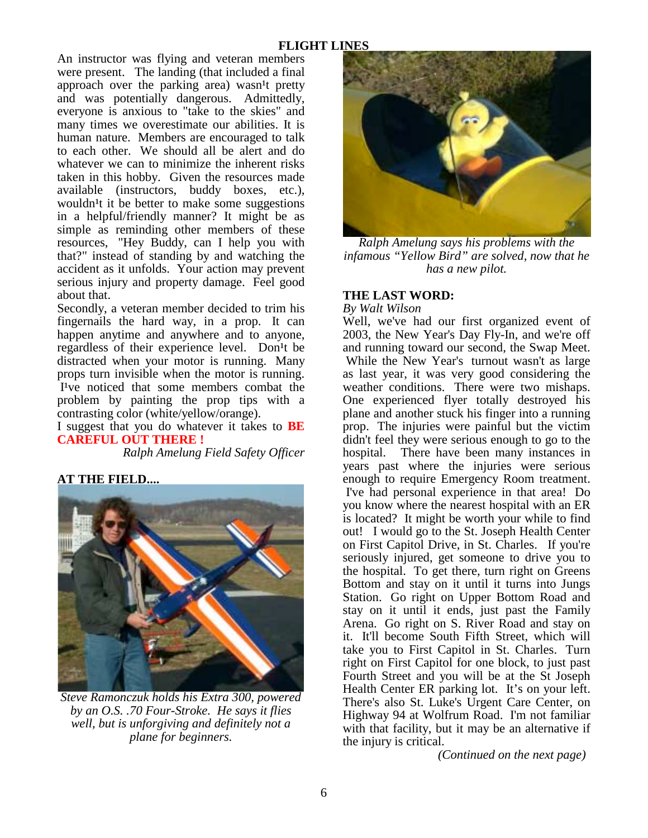An instructor was flying and veteran members were present. The landing (that included a final approach over the parking area) wasn<sup>1</sup>t pretty and was potentially dangerous. Admittedly, everyone is anxious to "take to the skies" and many times we overestimate our abilities. It is human nature. Members are encouraged to talk to each other. We should all be alert and do whatever we can to minimize the inherent risks taken in this hobby. Given the resources made available (instructors, buddy boxes, etc.), wouldn<sup>1</sup>t it be better to make some suggestions in a helpful/friendly manner? It might be as simple as reminding other members of these resources, "Hey Buddy, can I help you with that?" instead of standing by and watching the accident as it unfolds. Your action may prevent serious injury and property damage. Feel good about that.

Secondly, a veteran member decided to trim his fingernails the hard way, in a prop. It can happen anytime and anywhere and to anyone, regardless of their experience level. Don<sup>1</sup>t be distracted when your motor is running. Many props turn invisible when the motor is running. I've noticed that some members combat the problem by painting the prop tips with a contrasting color (white/yellow/orange).

I suggest that you do whatever it takes to **BE CAREFUL OUT THERE !** 

*Ralph Amelung Field Safety Officer* 

# **AT THE FIELD....**



*Steve Ramonczuk holds his Extra 300, powered by an O.S. .70 Four-Stroke. He says it flies well, but is unforgiving and definitely not a plane for beginners.* 



*Ralph Amelung says his problems with the infamous "Yellow Bird" are solved, now that he has a new pilot.*

# **THE LAST WORD:**

*By Walt Wilson* 

Well, we've had our first organized event of 2003, the New Year's Day Fly-In, and we're off and running toward our second, the Swap Meet. While the New Year's turnout wasn't as large as last year, it was very good considering the weather conditions. There were two mishaps. One experienced flyer totally destroyed his plane and another stuck his finger into a running prop. The injuries were painful but the victim didn't feel they were serious enough to go to the hospital. There have been many instances in years past where the injuries were serious enough to require Emergency Room treatment. I've had personal experience in that area! Do you know where the nearest hospital with an ER is located? It might be worth your while to find out! I would go to the St. Joseph Health Center on First Capitol Drive, in St. Charles. If you're seriously injured, get someone to drive you to the hospital. To get there, turn right on Greens Bottom and stay on it until it turns into Jungs Station. Go right on Upper Bottom Road and stay on it until it ends, just past the Family Arena. Go right on S. River Road and stay on it. It'll become South Fifth Street, which will take you to First Capitol in St. Charles. Turn right on First Capitol for one block, to just past Fourth Street and you will be at the St Joseph Health Center ER parking lot. It's on your left. There's also St. Luke's Urgent Care Center, on Highway 94 at Wolfrum Road. I'm not familiar with that facility, but it may be an alternative if the injury is critical.

 *(Continued on the next page)*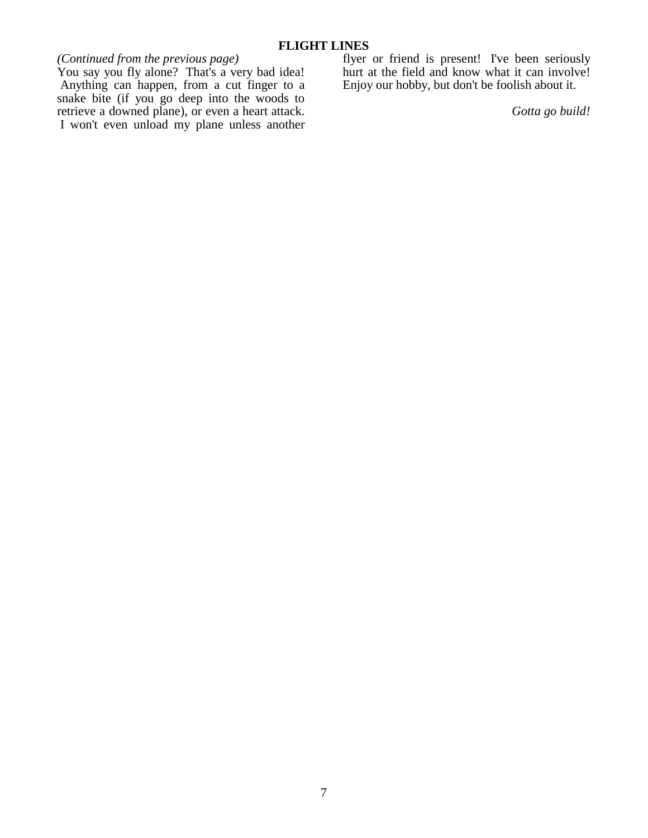# *(Continued from the previous page)*

You say you fly alone? That's a very bad idea! Anything can happen, from a cut finger to a snake bite (if you go deep into the woods to retrieve a downed plane), or even a heart attack. I won't even unload my plane unless another flyer or friend is present! I've been seriously hurt at the field and know what it can involve! Enjoy our hobby, but don't be foolish about it.

*Gotta go build!*